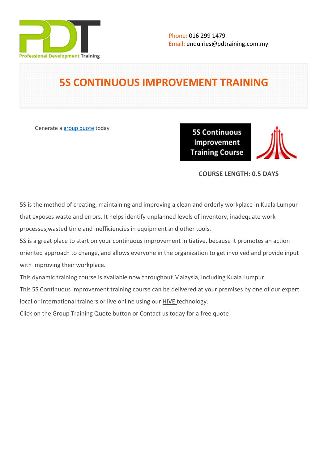

# **5S CONTINUOUS IMPROVEMENT TRAINING**

Generate a [group quote](https://pdtraining.com.my/inhouse-training-quote?cse=PDTCI5S) today

**5S Continuous** Improvement **Training Course** 

## **COURSE LENGTH: 0.5 DAYS**

5S is the method of creating, maintaining and improving a clean and orderly workplace in Kuala Lumpur that exposes waste and errors. It helps identify unplanned levels of inventory, inadequate work processes,wasted time and inefficiencies in equipment and other tools.

5S is a great place to start on your continuous improvement initiative, because it promotes an action oriented approach to change, and allows everyone in the organization to get involved and provide input with improving their workplace.

This dynamic training course is available now throughout Malaysia, including Kuala Lumpur.

This 5S Continuous Improvement training course can be delivered at your premises by one of our expert

local or international trainers or live online using our HIVE technology.

Click on the Group Training Quote button or Contact us today for a free quote!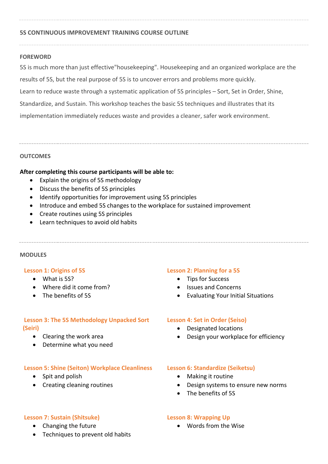## **5S CONTINUOUS IMPROVEMENT TRAINING COURSE OUTLINE**

#### **FOREWORD**

5S is much more than just effective"housekeeping". Housekeeping and an organized workplace are the results of 5S, but the real purpose of 5S is to uncover errors and problems more quickly. Learn to reduce waste through a systematic application of 5S principles – Sort, Set in Order, Shine, Standardize, and Sustain. This workshop teaches the basic 5S techniques and illustrates that its implementation immediately reduces waste and provides a cleaner, safer work environment.

## **OUTCOMES**

## **After completing this course participants will be able to:**

- Explain the origins of 5S methodology
- Discuss the benefits of 5S principles
- Identify opportunities for improvement using 5S principles
- Introduce and embed 5S changes to the workplace for sustained improvement
- Create routines using 5S principles
- Learn techniques to avoid old habits

## **MODULES**

## **Lesson 1: Origins of 5S**

- What is 5S?
- Where did it come from?
- The benefits of 5S

## **Lesson 3: The 5S Methodology Unpacked Sort (Seiri)**

- Clearing the work area
- Determine what you need

## **Lesson 5: Shine (Seiton) Workplace Cleanliness**

- Spit and polish
- Creating cleaning routines

## **Lesson 7: Sustain (Shitsuke)**

- Changing the future
- Techniques to prevent old habits

## **Lesson 2: Planning for a 5S**

- Tips for Success
- Issues and Concerns
- Evaluating Your Initial Situations

## **Lesson 4: Set in Order (Seiso)**

- Designated locations
- Design your workplace for efficiency

## **Lesson 6: Standardize (Seiketsu)**

- Making it routine
- Design systems to ensure new norms
- The benefits of 5S

## **Lesson 8: Wrapping Up**

Words from the Wise